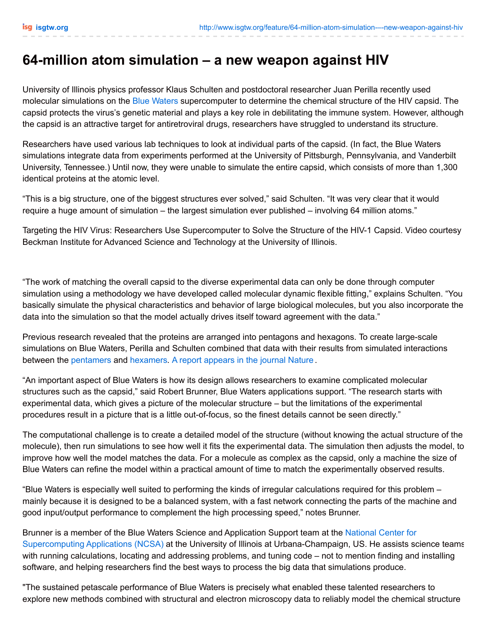## **64-million atom simulation – a new weapon against HIV**

University of Illinois physics professor Klaus Schulten and postdoctoral researcher Juan Perilla recently used molecular simulations on the Blue [Waters](http://www.ncsa.illinois.edu/BlueWaters/) supercomputer to determine the chemical structure of the HIV capsid. The capsid protects the virus's genetic material and plays a key role in debilitating the immune system. However, although the capsid is an attractive target for antiretroviral drugs, researchers have struggled to understand its structure.

Researchers have used various lab techniques to look at individual parts of the capsid. (In fact, the Blue Waters simulations integrate data from experiments performed at the University of Pittsburgh, Pennsylvania, and Vanderbilt University, Tennessee.) Until now, they were unable to simulate the entire capsid, which consists of more than 1,300 identical proteins at the atomic level.

"This is a big structure, one of the biggest structures ever solved," said Schulten. "It was very clear that it would require a huge amount of simulation – the largest simulation ever published – involving 64 million atoms."

Targeting the HIV Virus: Researchers Use Supercomputer to Solve the Structure of the HIV-1 Capsid. Video courtesy Beckman Institute for Advanced Science and Technology at the University of Illinois.

"The work of matching the overall capsid to the diverse experimental data can only be done through computer simulation using a methodology we have developed called molecular dynamic flexible fitting," explains Schulten. "You basically simulate the physical characteristics and behavior of large biological molecules, but you also incorporate the data into the simulation so that the model actually drives itself toward agreement with the data."

Previous research revealed that the proteins are arranged into pentagons and hexagons. To create large-scale simulations on Blue Waters, Perilla and Schulten combined that data with their results from simulated interactions between the [pentamers](http://en.wikipedia.org/wiki/Pentamer) and [hexamers](http://en.wikipedia.org/wiki/Hexamers). A report [appears](http://www.nature.com/nature/journal/v497/n7451/full/nature12162.html) in the journal Nature .

"An important aspect of Blue Waters is how its design allows researchers to examine complicated molecular structures such as the capsid," said Robert Brunner, Blue Waters applications support. "The research starts with experimental data, which gives a picture of the molecular structure – but the limitations of the experimental procedures result in a picture that is a little out-of-focus, so the finest details cannot be seen directly."

The computational challenge is to create a detailed model of the structure (without knowing the actual structure of the molecule), then run simulations to see how well it fits the experimental data. The simulation then adjusts the model, to improve how well the model matches the data. For a molecule as complex as the capsid, only a machine the size of Blue Waters can refine the model within a practical amount of time to match the experimentally observed results.

"Blue Waters is especially well suited to performing the kinds of irregular calculations required for this problem – mainly because it is designed to be a balanced system, with a fast network connecting the parts of the machine and good input/output performance to complement the high processing speed," notes Brunner.

Brunner is a member of the Blue Waters Science and Application Support team at the National Center for Supercomputing Applications (NCSA) at the University of Illinois at [Urbana-Champaign,](http://www.ncsa.illinois.edu/) US. He assists science teams with running calculations, locating and addressing problems, and tuning code – not to mention finding and installing software, and helping researchers find the best ways to process the big data that simulations produce.

"The sustained petascale performance of Blue Waters is precisely what enabled these talented researchers to explore new methods combined with structural and electron microscopy data to reliably model the chemical structure